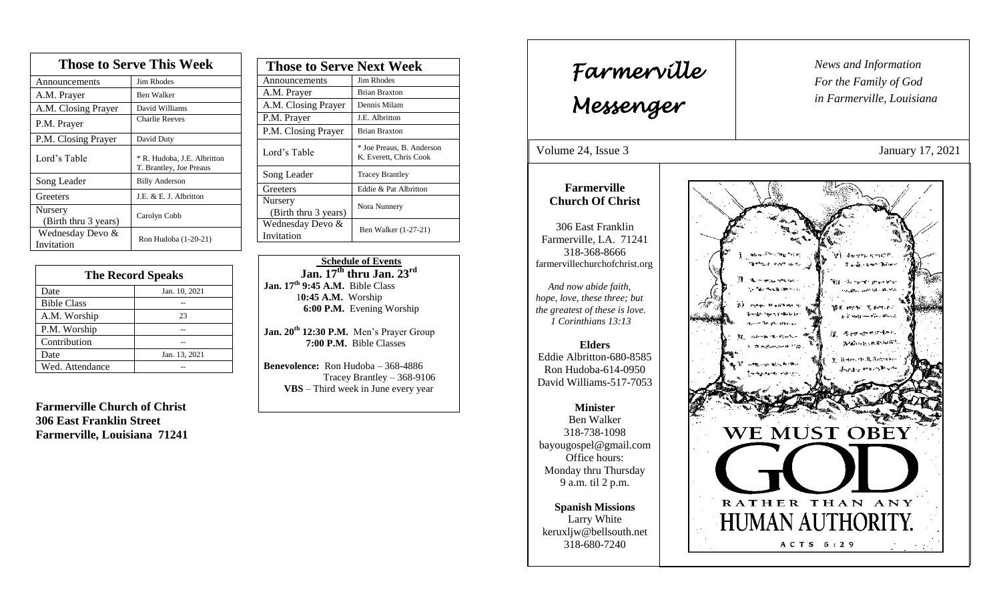| <b>Those to Serve This Week</b> |                                                        |  |
|---------------------------------|--------------------------------------------------------|--|
| Announcements                   | Jim Rhodes                                             |  |
| A.M. Prayer                     | <b>Ben Walker</b>                                      |  |
| A.M. Closing Prayer             | David Williams                                         |  |
| P.M. Prayer                     | <b>Charlie Reeves</b>                                  |  |
| P.M. Closing Prayer             | David Duty                                             |  |
| Lord's Table                    | * R. Hudoba, J.E. Albritton<br>T. Brantley, Joe Preaus |  |
| Song Leader                     | <b>Billy Anderson</b>                                  |  |
| Greeters                        | J.E. & E. J. Albritton                                 |  |
| Nursery<br>(Birth thru 3 years) | Carolyn Cobb                                           |  |
| Wednesday Devo &<br>Invitation  | Ron Hudoba (1-20-21)                                   |  |

| <b>The Record Speaks</b> |               |
|--------------------------|---------------|
| Date                     | Jan. 10, 2021 |
| <b>Bible Class</b>       |               |
| A.M. Worship             | 23            |
| P.M. Worship             |               |
| Contribution             |               |
| Date                     | Jan. 13, 2021 |
| Wed. Attendance          |               |

**Farmerville Church of Christ 306 East Franklin Street Farmerville, Louisiana 71241**

| <b>Those to Serve Next Week</b> |                                                     |
|---------------------------------|-----------------------------------------------------|
| Announcements                   | Jim Rhodes                                          |
| A.M. Prayer                     | <b>Brian Braxton</b>                                |
| A.M. Closing Prayer             | Dennis Milam                                        |
| P.M. Prayer                     | J.E. Albritton                                      |
| P.M. Closing Prayer             | <b>Brian Braxton</b>                                |
| Lord's Table                    | * Joe Preaus, B. Anderson<br>K. Everett, Chris Cook |
| Song Leader                     | <b>Tracey Brantley</b>                              |
| Greeters                        | Eddie & Pat Albritton                               |
| Nursery<br>(Birth thru 3 years) | Nora Nunnery                                        |
| Wednesday Devo &<br>Invitation  | Ben Walker (1-27-21)                                |

 **Schedule of Events Jan. 17th thru Jan. 23rd Jan. 17th 9:45 A.M.** Bible Class 1**0:45 A.M.** Worship  **6:00 P.M.** Evening Worship

**Jan. 20th 12:30 P.M.** Men's Prayer Group **7:00 P.M.** Bible Classes

**Benevolence:** Ron Hudoba – 368-4886 Tracey Brantley – 368-9106 **VBS** – Third week in June every year